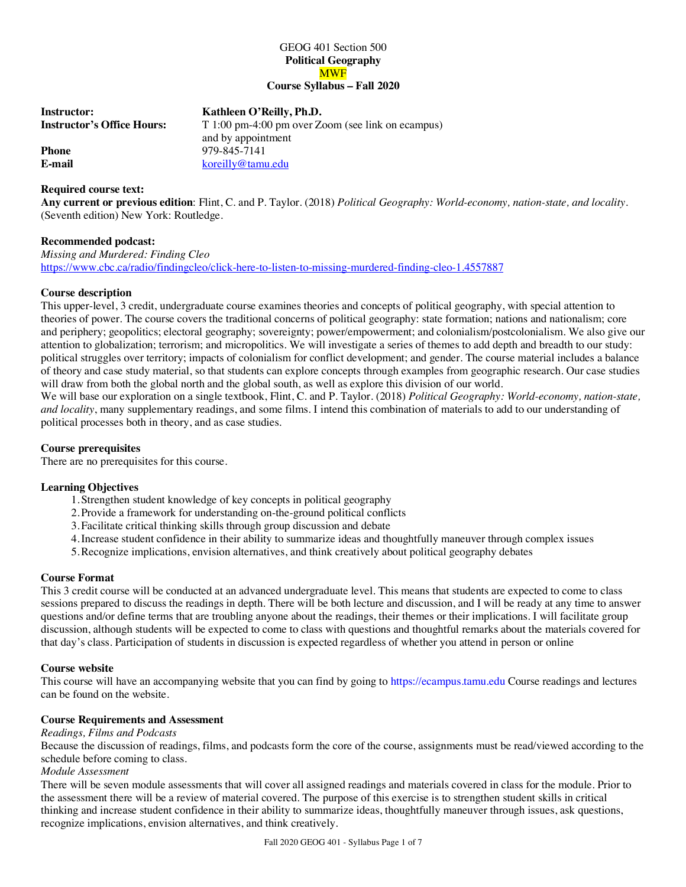# GEOG 401 Section 500 **Political Geography** MWF **Course Syllabus – Fall 2020**

| Instructor:                | Kathleen O'Reilly, Ph.D.                          |
|----------------------------|---------------------------------------------------|
| Instructor's Office Hours: | T 1:00 pm-4:00 pm over Zoom (see link on ecampus) |
|                            | and by appointment                                |
| Phone                      | 979-845-7141                                      |
| E-mail                     | koreilly@tamu.edu                                 |
|                            |                                                   |

## **Required course text:**

**Any current or previous edition**: Flint, C. and P. Taylor. (2018) *Political Geography: World-economy, nation-state, and locality.* (Seventh edition) New York: Routledge.

## **Recommended podcast:**

*Missing and Murdered: Finding Cleo* https://www.cbc.ca/radio/findingcleo/click-here-to-listen-to-missing-murdered-finding-cleo-1.4557887

## **Course description**

This upper-level, 3 credit, undergraduate course examines theories and concepts of political geography, with special attention to theories of power. The course covers the traditional concerns of political geography: state formation; nations and nationalism; core and periphery; geopolitics; electoral geography; sovereignty; power/empowerment; and colonialism/postcolonialism. We also give our attention to globalization; terrorism; and micropolitics. We will investigate a series of themes to add depth and breadth to our study: political struggles over territory; impacts of colonialism for conflict development; and gender. The course material includes a balance of theory and case study material, so that students can explore concepts through examples from geographic research. Our case studies will draw from both the global north and the global south, as well as explore this division of our world.

We will base our exploration on a single textbook, Flint, C. and P. Taylor. (2018) *Political Geography: World-economy, nation-state, and locality*, many supplementary readings, and some films. I intend this combination of materials to add to our understanding of political processes both in theory, and as case studies.

# **Course prerequisites**

There are no prerequisites for this course.

# **Learning Objectives**

- 1.Strengthen student knowledge of key concepts in political geography
- 2.Provide a framework for understanding on-the-ground political conflicts
- 3.Facilitate critical thinking skills through group discussion and debate
- 4.Increase student confidence in their ability to summarize ideas and thoughtfully maneuver through complex issues
- 5.Recognize implications, envision alternatives, and think creatively about political geography debates

## **Course Format**

This 3 credit course will be conducted at an advanced undergraduate level. This means that students are expected to come to class sessions prepared to discuss the readings in depth. There will be both lecture and discussion, and I will be ready at any time to answer questions and/or define terms that are troubling anyone about the readings, their themes or their implications. I will facilitate group discussion, although students will be expected to come to class with questions and thoughtful remarks about the materials covered for that day's class. Participation of students in discussion is expected regardless of whether you attend in person or online

## **Course website**

This course will have an accompanying website that you can find by going to https://ecampus.tamu.edu Course readings and lectures can be found on the website.

# **Course Requirements and Assessment**

## *Readings, Films and Podcasts*

Because the discussion of readings, films, and podcasts form the core of the course, assignments must be read/viewed according to the schedule before coming to class.

## *Module Assessment*

There will be seven module assessments that will cover all assigned readings and materials covered in class for the module. Prior to the assessment there will be a review of material covered. The purpose of this exercise is to strengthen student skills in critical thinking and increase student confidence in their ability to summarize ideas, thoughtfully maneuver through issues, ask questions, recognize implications, envision alternatives, and think creatively.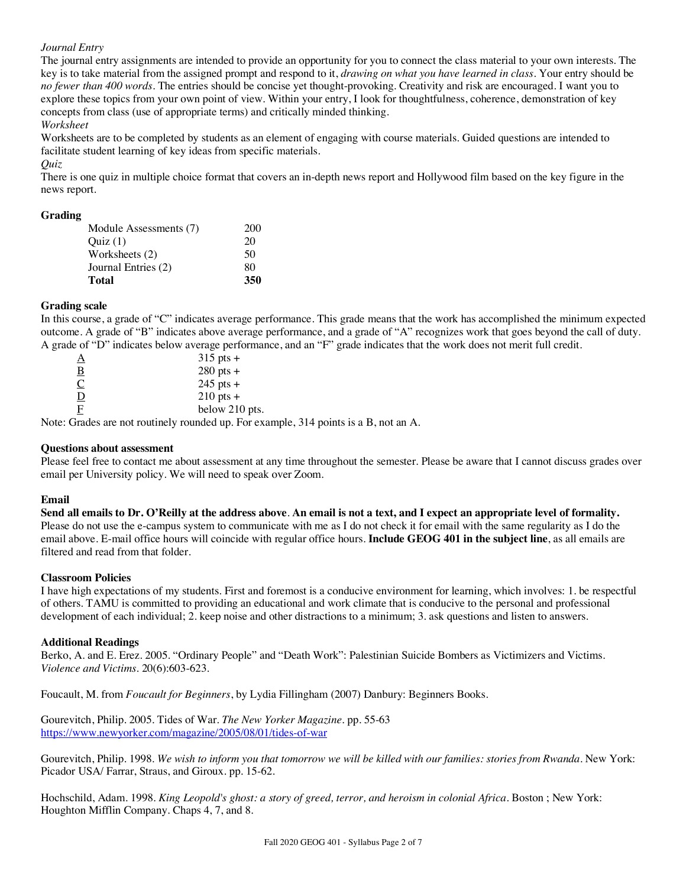# *Journal Entry*

The journal entry assignments are intended to provide an opportunity for you to connect the class material to your own interests. The key is to take material from the assigned prompt and respond to it, *drawing on what you have learned in class*. Your entry should be *no fewer than 400 words*. The entries should be concise yet thought-provoking. Creativity and risk are encouraged. I want you to explore these topics from your own point of view. Within your entry, I look for thoughtfulness, coherence, demonstration of key concepts from class (use of appropriate terms) and critically minded thinking.

*Worksheet*

Worksheets are to be completed by students as an element of engaging with course materials. Guided questions are intended to facilitate student learning of key ideas from specific materials.

#### *Quiz*

There is one quiz in multiple choice format that covers an in-depth news report and Hollywood film based on the key figure in the news report.

## **Grading**

| Module Assessments (7) | 200 |
|------------------------|-----|
| Ouiz(1)                | 20  |
| Worksheets (2)         | 50  |
| Journal Entries (2)    | 80  |
| Total                  | 350 |

## **Grading scale**

In this course, a grade of "C" indicates average performance. This grade means that the work has accomplished the minimum expected outcome. A grade of "B" indicates above average performance, and a grade of "A" recognizes work that goes beyond the call of duty. A grade of "D" indicates below average performance, and an "F" grade indicates that the work does not merit full credit.

| $\Delta$                    | $315$ pts +    |                      |   |        |  |
|-----------------------------|----------------|----------------------|---|--------|--|
| $\overline{B}$              | $280$ pts +    |                      |   |        |  |
| $\underline{\underline{C}}$ | $245$ pts +    |                      |   |        |  |
| $\overline{D}$              | $210$ pts +    |                      |   |        |  |
| F                           | below 210 pts. |                      |   |        |  |
| - -                         | .              | $\sim$ $\sim$ $\sim$ | . | $\sim$ |  |

Note: Grades are not routinely rounded up. For example, 314 points is a B, not an A.

## **Questions about assessment**

Please feel free to contact me about assessment at any time throughout the semester. Please be aware that I cannot discuss grades over email per University policy. We will need to speak over Zoom.

## **Email**

**Send all emails to Dr. O'Reilly at the address above**. **An email is not a text, and I expect an appropriate level of formality.** Please do not use the e-campus system to communicate with me as I do not check it for email with the same regularity as I do the email above. E-mail office hours will coincide with regular office hours. **Include GEOG 401 in the subject line**, as all emails are filtered and read from that folder.

#### **Classroom Policies**

I have high expectations of my students. First and foremost is a conducive environment for learning, which involves: 1. be respectful of others. TAMU is committed to providing an educational and work climate that is conducive to the personal and professional development of each individual; 2. keep noise and other distractions to a minimum; 3. ask questions and listen to answers.

## **Additional Readings**

Berko, A. and E. Erez. 2005. "Ordinary People" and "Death Work": Palestinian Suicide Bombers as Victimizers and Victims. *Violence and Victims*. 20(6):603-623.

Foucault, M. from *Foucault for Beginners*, by Lydia Fillingham (2007) Danbury: Beginners Books.

Gourevitch, Philip. 2005. Tides of War. *The New Yorker Magazine.* pp. 55-63 https://www.newyorker.com/magazine/2005/08/01/tides-of-war

Gourevitch, Philip. 1998. *We wish to inform you that tomorrow we will be killed with our families: stories from Rwanda*. New York: Picador USA/ Farrar, Straus, and Giroux. pp. 15-62.

Hochschild, Adam. 1998. *King Leopold's ghost: a story of greed, terror, and heroism in colonial Africa*. Boston ; New York: Houghton Mifflin Company. Chaps 4, 7, and 8.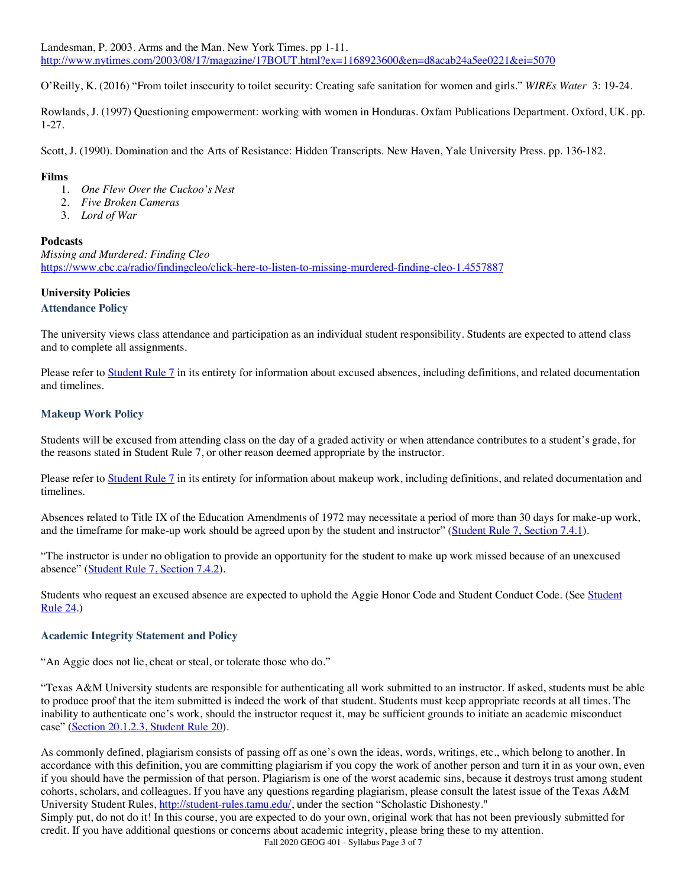Landesman, P. 2003. Arms and the Man. New York Times. pp 1-11. http://www.nytimes.com/2003/08/17/magazine/17BOUT.html?ex=1168923600&en=d8acab24a5ee0221&ei=5070

O'Reilly, K. (2016) "From toilet insecurity to toilet security: Creating safe sanitation for women and girls." *WIREs Water* 3: 19-24.

Rowlands, J. (1997) Questioning empowerment: working with women in Honduras. Oxfam Publications Department. Oxford, UK. pp. 1-27.

Scott, J. (1990). Domination and the Arts of Resistance: Hidden Transcripts. New Haven, Yale University Press. pp. 136-182.

# **Films**

- 1. *One Flew Over the Cuckoo's Nest*
- 2. *Five Broken Cameras*
- 3. *Lord of War*

## **Podcasts**

*Missing and Murdered: Finding Cleo* https://www.cbc.ca/radio/findingcleo/click-here-to-listen-to-missing-murdered-finding-cleo-1.4557887

# **University Policies**

## **Attendance Policy**

The university views class attendance and participation as an individual student responsibility. Students are expected to attend class and to complete all assignments.

Please refer to Student Rule 7 in its entirety for information about excused absences, including definitions, and related documentation and timelines.

# **Makeup Work Policy**

Students will be excused from attending class on the day of a graded activity or when attendance contributes to a student's grade, for the reasons stated in Student Rule 7, or other reason deemed appropriate by the instructor.

Please refer to Student Rule 7 in its entirety for information about makeup work, including definitions, and related documentation and timelines.

Absences related to Title IX of the Education Amendments of 1972 may necessitate a period of more than 30 days for make-up work, and the timeframe for make-up work should be agreed upon by the student and instructor" (Student Rule 7, Section 7.4.1).

"The instructor is under no obligation to provide an opportunity for the student to make up work missed because of an unexcused absence" (Student Rule 7, Section 7.4.2).

Students who request an excused absence are expected to uphold the Aggie Honor Code and Student Conduct Code. (See Student Rule 24.)

## **Academic Integrity Statement and Policy**

"An Aggie does not lie, cheat or steal, or tolerate those who do."

"Texas A&M University students are responsible for authenticating all work submitted to an instructor. If asked, students must be able to produce proof that the item submitted is indeed the work of that student. Students must keep appropriate records at all times. The inability to authenticate one's work, should the instructor request it, may be sufficient grounds to initiate an academic misconduct case" (Section 20.1.2.3, Student Rule 20).

As commonly defined, plagiarism consists of passing off as one's own the ideas, words, writings, etc., which belong to another. In accordance with this definition, you are committing plagiarism if you copy the work of another person and turn it in as your own, even if you should have the permission of that person. Plagiarism is one of the worst academic sins, because it destroys trust among student cohorts, scholars, and colleagues. If you have any questions regarding plagiarism, please consult the latest issue of the Texas A&M University Student Rules, http://student-rules.tamu.edu/, under the section "Scholastic Dishonesty."

Simply put, do not do it! In this course, you are expected to do your own, original work that has not been previously submitted for credit. If you have additional questions or concerns about academic integrity, please bring these to my attention.

Fall 2020 GEOG 401 - Syllabus Page 3 of 7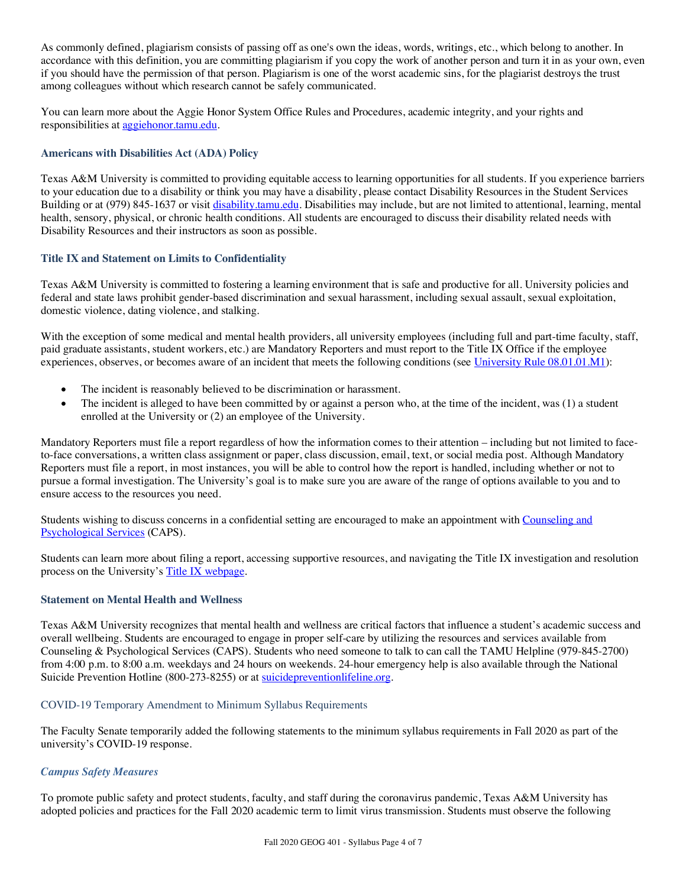As commonly defined, plagiarism consists of passing off as one's own the ideas, words, writings, etc., which belong to another. In accordance with this definition, you are committing plagiarism if you copy the work of another person and turn it in as your own, even if you should have the permission of that person. Plagiarism is one of the worst academic sins, for the plagiarist destroys the trust among colleagues without which research cannot be safely communicated.

You can learn more about the Aggie Honor System Office Rules and Procedures, academic integrity, and your rights and responsibilities at aggiehonor.tamu.edu.

# **Americans with Disabilities Act (ADA) Policy**

Texas A&M University is committed to providing equitable access to learning opportunities for all students. If you experience barriers to your education due to a disability or think you may have a disability, please contact Disability Resources in the Student Services Building or at (979) 845-1637 or visit disability.tamu.edu. Disabilities may include, but are not limited to attentional, learning, mental health, sensory, physical, or chronic health conditions. All students are encouraged to discuss their disability related needs with Disability Resources and their instructors as soon as possible.

## **Title IX and Statement on Limits to Confidentiality**

Texas A&M University is committed to fostering a learning environment that is safe and productive for all. University policies and federal and state laws prohibit gender-based discrimination and sexual harassment, including sexual assault, sexual exploitation, domestic violence, dating violence, and stalking.

With the exception of some medical and mental health providers, all university employees (including full and part-time faculty, staff, paid graduate assistants, student workers, etc.) are Mandatory Reporters and must report to the Title IX Office if the employee experiences, observes, or becomes aware of an incident that meets the following conditions (see University Rule 08.01.01.M1):

- The incident is reasonably believed to be discrimination or harassment.
- The incident is alleged to have been committed by or against a person who, at the time of the incident, was (1) a student enrolled at the University or (2) an employee of the University.

Mandatory Reporters must file a report regardless of how the information comes to their attention – including but not limited to faceto-face conversations, a written class assignment or paper, class discussion, email, text, or social media post. Although Mandatory Reporters must file a report, in most instances, you will be able to control how the report is handled, including whether or not to pursue a formal investigation. The University's goal is to make sure you are aware of the range of options available to you and to ensure access to the resources you need.

Students wishing to discuss concerns in a confidential setting are encouraged to make an appointment with Counseling and Psychological Services (CAPS).

Students can learn more about filing a report, accessing supportive resources, and navigating the Title IX investigation and resolution process on the University's Title IX webpage.

## **Statement on Mental Health and Wellness**

Texas A&M University recognizes that mental health and wellness are critical factors that influence a student's academic success and overall wellbeing. Students are encouraged to engage in proper self-care by utilizing the resources and services available from Counseling & Psychological Services (CAPS). Students who need someone to talk to can call the TAMU Helpline (979-845-2700) from 4:00 p.m. to 8:00 a.m. weekdays and 24 hours on weekends. 24-hour emergency help is also available through the National Suicide Prevention Hotline (800-273-8255) or at suicidepreventionlifeline.org.

# COVID-19 Temporary Amendment to Minimum Syllabus Requirements

The Faculty Senate temporarily added the following statements to the minimum syllabus requirements in Fall 2020 as part of the university's COVID-19 response.

# *Campus Safety Measures*

To promote public safety and protect students, faculty, and staff during the coronavirus pandemic, Texas A&M University has adopted policies and practices for the Fall 2020 academic term to limit virus transmission. Students must observe the following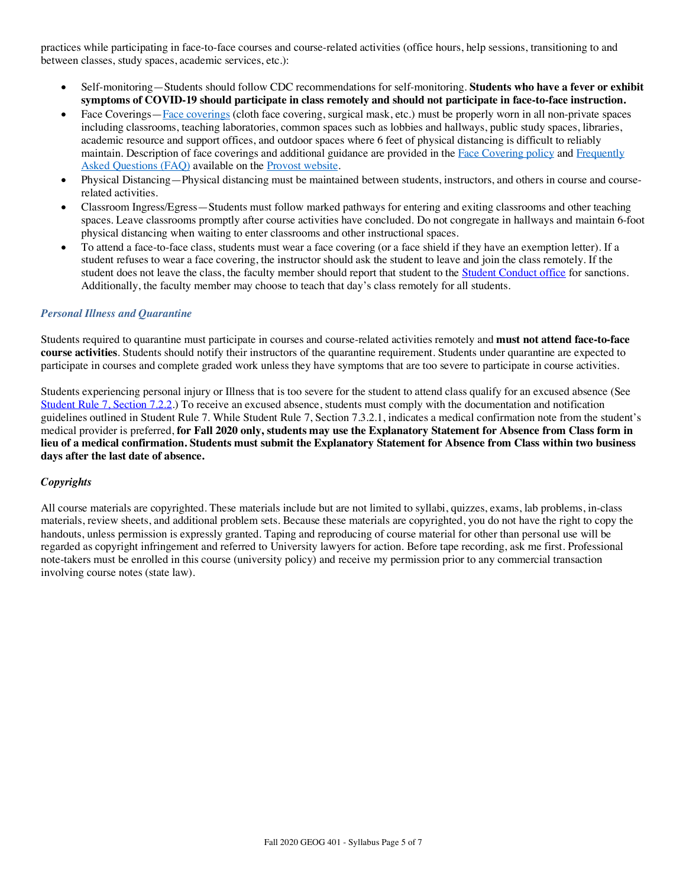practices while participating in face-to-face courses and course-related activities (office hours, help sessions, transitioning to and between classes, study spaces, academic services, etc.):

- Self-monitoring—Students should follow CDC recommendations for self-monitoring. **Students who have a fever or exhibit symptoms of COVID-19 should participate in class remotely and should not participate in face-to-face instruction.**
- Face Coverings—Face coverings (cloth face covering, surgical mask, etc.) must be properly worn in all non-private spaces including classrooms, teaching laboratories, common spaces such as lobbies and hallways, public study spaces, libraries, academic resource and support offices, and outdoor spaces where 6 feet of physical distancing is difficult to reliably maintain. Description of face coverings and additional guidance are provided in the Face Covering policy and Frequently Asked Questions (FAQ) available on the Provost website.
- Physical Distancing—Physical distancing must be maintained between students, instructors, and others in course and courserelated activities.
- Classroom Ingress/Egress—Students must follow marked pathways for entering and exiting classrooms and other teaching spaces. Leave classrooms promptly after course activities have concluded. Do not congregate in hallways and maintain 6-foot physical distancing when waiting to enter classrooms and other instructional spaces.
- To attend a face-to-face class, students must wear a face covering (or a face shield if they have an exemption letter). If a student refuses to wear a face covering, the instructor should ask the student to leave and join the class remotely. If the student does not leave the class, the faculty member should report that student to the **Student Conduct office** for sanctions. Additionally, the faculty member may choose to teach that day's class remotely for all students.

# *Personal Illness and Quarantine*

Students required to quarantine must participate in courses and course-related activities remotely and **must not attend face-to-face course activities**. Students should notify their instructors of the quarantine requirement. Students under quarantine are expected to participate in courses and complete graded work unless they have symptoms that are too severe to participate in course activities.

Students experiencing personal injury or Illness that is too severe for the student to attend class qualify for an excused absence (See Student Rule 7, Section 7.2.2.) To receive an excused absence, students must comply with the documentation and notification guidelines outlined in Student Rule 7. While Student Rule 7, Section 7.3.2.1, indicates a medical confirmation note from the student's medical provider is preferred, **for Fall 2020 only, students may use the Explanatory Statement for Absence from Class form in lieu of a medical confirmation. Students must submit the Explanatory Statement for Absence from Class within two business days after the last date of absence.**

# *Copyrights*

All course materials are copyrighted. These materials include but are not limited to syllabi, quizzes, exams, lab problems, in-class materials, review sheets, and additional problem sets. Because these materials are copyrighted, you do not have the right to copy the handouts, unless permission is expressly granted. Taping and reproducing of course material for other than personal use will be regarded as copyright infringement and referred to University lawyers for action. Before tape recording, ask me first. Professional note-takers must be enrolled in this course (university policy) and receive my permission prior to any commercial transaction involving course notes (state law).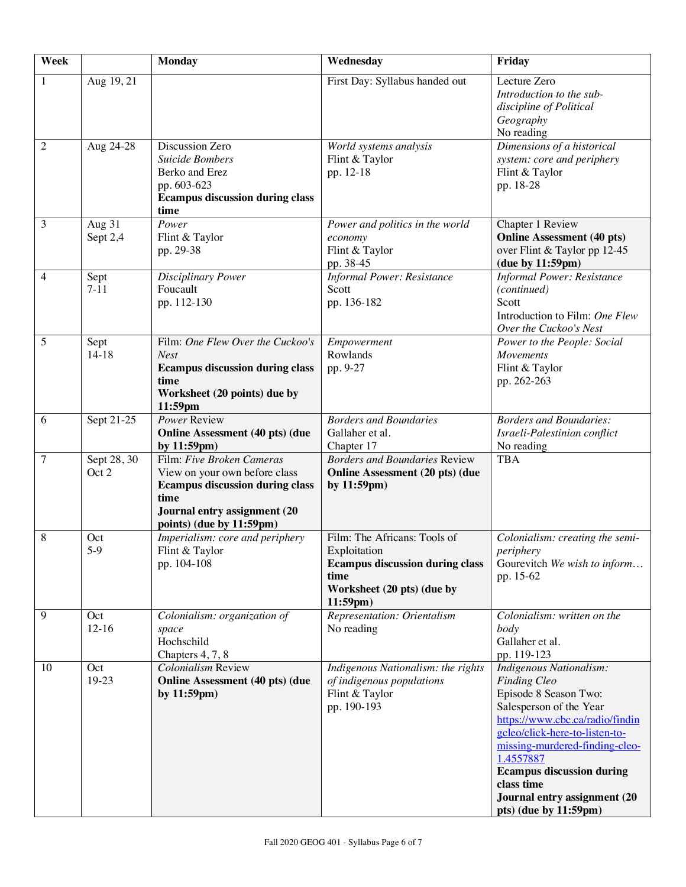| Week           |                        | <b>Monday</b>                                                                                                                                                            | Wednesday                                                                                                                                      | Friday                                                                                                                                                                                                                                                                                                                            |
|----------------|------------------------|--------------------------------------------------------------------------------------------------------------------------------------------------------------------------|------------------------------------------------------------------------------------------------------------------------------------------------|-----------------------------------------------------------------------------------------------------------------------------------------------------------------------------------------------------------------------------------------------------------------------------------------------------------------------------------|
| $\mathbf{1}$   | Aug 19, 21             |                                                                                                                                                                          | First Day: Syllabus handed out                                                                                                                 | Lecture Zero<br>Introduction to the sub-<br>discipline of Political<br>Geography<br>No reading                                                                                                                                                                                                                                    |
| $\overline{c}$ | Aug 24-28              | Discussion Zero<br>Suicide Bombers<br>Berko and Erez<br>pp. 603-623<br><b>Ecampus discussion during class</b><br>time                                                    | World systems analysis<br>Flint & Taylor<br>pp. 12-18                                                                                          | Dimensions of a historical<br>system: core and periphery<br>Flint & Taylor<br>pp. 18-28                                                                                                                                                                                                                                           |
| 3              | Aug 31<br>Sept 2,4     | Power<br>Flint & Taylor<br>pp. 29-38                                                                                                                                     | Power and politics in the world<br>economy<br>Flint & Taylor<br>pp. 38-45                                                                      | Chapter 1 Review<br><b>Online Assessment (40 pts)</b><br>over Flint & Taylor pp 12-45<br>(due by 11:59pm)                                                                                                                                                                                                                         |
| 4              | Sept<br>$7 - 11$       | Disciplinary Power<br>Foucault<br>pp. 112-130                                                                                                                            | <b>Informal Power: Resistance</b><br>Scott<br>pp. 136-182                                                                                      | <b>Informal Power: Resistance</b><br>(continued)<br>Scott<br>Introduction to Film: One Flew<br>Over the Cuckoo's Nest                                                                                                                                                                                                             |
| 5              | Sept<br>$14 - 18$      | Film: One Flew Over the Cuckoo's<br><b>Nest</b><br><b>Ecampus discussion during class</b><br>time<br>Worksheet (20 points) due by<br>11:59pm                             | Empowerment<br>Rowlands<br>pp. 9-27                                                                                                            | Power to the People: Social<br>Movements<br>Flint & Taylor<br>pp. 262-263                                                                                                                                                                                                                                                         |
| 6              | Sept 21-25             | Power Review<br><b>Online Assessment (40 pts) (due</b><br>by $11:59$ pm $)$                                                                                              | <b>Borders and Boundaries</b><br>Gallaher et al.<br>Chapter 17                                                                                 | <b>Borders and Boundaries:</b><br>Israeli-Palestinian conflict<br>No reading                                                                                                                                                                                                                                                      |
| 7              | Sept $28, 30$<br>Oct 2 | Film: Five Broken Cameras<br>View on your own before class<br><b>Ecampus discussion during class</b><br>time<br>Journal entry assignment (20<br>points) (due by 11:59pm) | <b>Borders and Boundaries Review</b><br><b>Online Assessment (20 pts) (due</b><br>by 11:59pm)                                                  | <b>TBA</b>                                                                                                                                                                                                                                                                                                                        |
| 8              | Oct<br>$5-9$           | Imperialism: core and periphery<br>Flint & Taylor<br>pp. 104-108                                                                                                         | Film: The Africans: Tools of<br>Exploitation<br><b>Ecampus discussion during class</b><br>time<br>Worksheet (20 pts) (due by<br>$11:59$ pm $)$ | Colonialism: creating the semi-<br>periphery<br>Gourevitch We wish to inform<br>pp. 15-62                                                                                                                                                                                                                                         |
| 9              | Oct<br>$12-16$         | Colonialism: organization of<br>space<br>Hochschild<br>Chapters 4, 7, 8                                                                                                  | Representation: Orientalism<br>No reading                                                                                                      | Colonialism: written on the<br>body<br>Gallaher et al.<br>pp. 119-123                                                                                                                                                                                                                                                             |
| 10             | Oct<br>19-23           | Colonialism Review<br><b>Online Assessment (40 pts) (due</b><br>by 11:59pm)                                                                                              | Indigenous Nationalism: the rights<br>of indigenous populations<br>Flint & Taylor<br>pp. 190-193                                               | Indigenous Nationalism:<br><b>Finding Cleo</b><br>Episode 8 Season Two:<br>Salesperson of the Year<br>https://www.cbc.ca/radio/findin<br>gcleo/click-here-to-listen-to-<br>missing-murdered-finding-cleo-<br>1.4557887<br><b>Ecampus discussion during</b><br>class time<br>Journal entry assignment (20<br>pts) (due by 11:59pm) |